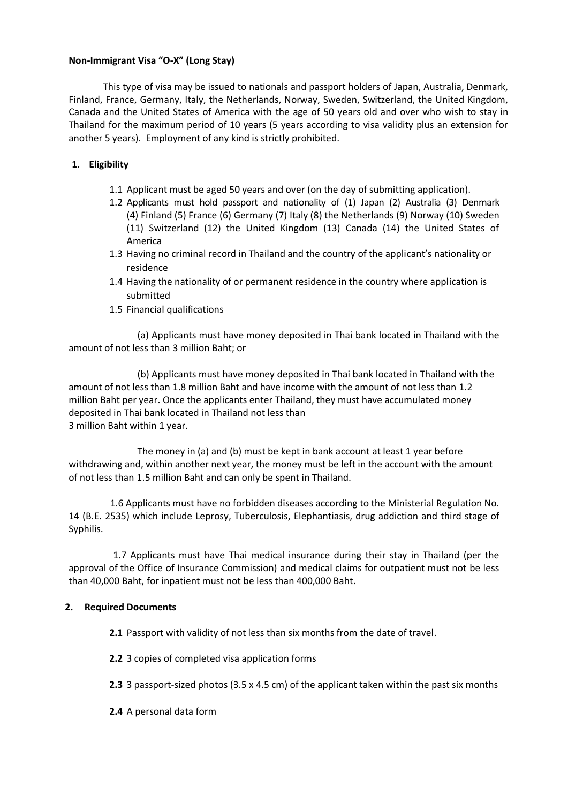### **Non-Immigrant Visa "O-X" (Long Stay)**

This type of visa may be issued to nationals and passport holders of Japan, Australia, Denmark, Finland, France, Germany, Italy, the Netherlands, Norway, Sweden, Switzerland, the United Kingdom, Canada and the United States of America with the age of 50 years old and over who wish to stay in Thailand for the maximum period of 10 years (5 years according to visa validity plus an extension for another 5 years). Employment of any kind is strictly prohibited.

# **1. Eligibility**

- 1.1 Applicant must be aged 50 years and over (on the day of submitting application).
- 1.2 Applicants must hold passport and nationality of (1) Japan (2) Australia (3) Denmark (4) Finland (5) France (6) Germany (7) Italy (8) the Netherlands (9) Norway (10) Sweden (11) Switzerland (12) the United Kingdom (13) Canada (14) the United States of America
- 1.3 Having no criminal record in Thailand and the country of the applicant's nationality or residence
- 1.4 Having the nationality of or permanent residence in the country where application is submitted
- 1.5 Financial qualifications

(a) Applicants must have money deposited in Thai bank located in Thailand with the amount of not less than 3 million Baht; or

(b) Applicants must have money deposited in Thai bank located in Thailand with the amount of not less than 1.8 million Baht and have income with the amount of not less than 1.2 million Baht per year. Once the applicants enter Thailand, they must have accumulated money deposited in Thai bank located in Thailand not less than 3 million Baht within 1 year.

The money in (a) and (b) must be kept in bank account at least 1 year before withdrawing and, within another next year, the money must be left in the account with the amount of not less than 1.5 million Baht and can only be spent in Thailand.

1.6 Applicants must have no forbidden diseases according to the Ministerial Regulation No. 14 (B.E. 2535) which include Leprosy, Tuberculosis, Elephantiasis, drug addiction and third stage of Syphilis.

1.7 Applicants must have Thai medical insurance during their stay in Thailand (per the approval of the Office of Insurance Commission) and medical claims for outpatient must not be less than 40,000 Baht, for inpatient must not be less than 400,000 Baht.

# **2. Required Documents**

**2.1** Passport with validity of not less than six months from the date of travel.

**2.2** 3 copies of completed visa application forms

**2.3** 3 passport-sized photos (3.5 x 4.5 cm) of the applicant taken within the past six months

**2.4** A personal data form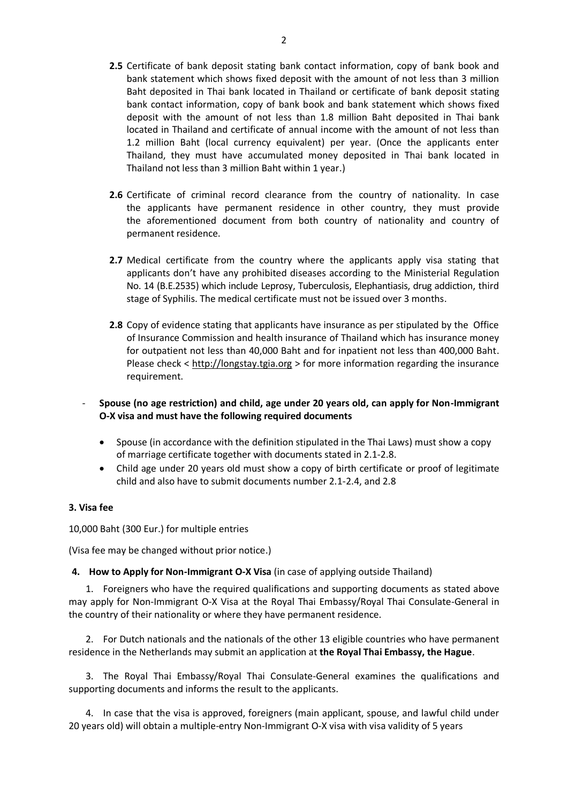- **2.5** Certificate of bank deposit stating bank contact information, copy of bank book and bank statement which shows fixed deposit with the amount of not less than 3 million Baht deposited in Thai bank located in Thailand or certificate of bank deposit stating bank contact information, copy of bank book and bank statement which shows fixed deposit with the amount of not less than 1.8 million Baht deposited in Thai bank located in Thailand and certificate of annual income with the amount of not less than 1.2 million Baht (local currency equivalent) per year. (Once the applicants enter Thailand, they must have accumulated money deposited in Thai bank located in Thailand not less than 3 million Baht within 1 year.)
- **2.6** Certificate of criminal record clearance from the country of nationality. In case the applicants have permanent residence in other country, they must provide the aforementioned document from both country of nationality and country of permanent residence.
- **2.7** Medical certificate from the country where the applicants apply visa stating that applicants don't have any prohibited diseases according to the Ministerial Regulation No. 14 (B.E.2535) which include Leprosy, Tuberculosis, Elephantiasis, drug addiction, third stage of Syphilis. The medical certificate must not be issued over 3 months.
- **2.8** Copy of evidence stating that applicants have insurance as per stipulated by the Office of Insurance Commission and health insurance of Thailand which has insurance money for outpatient not less than 40,000 Baht and for inpatient not less than 400,000 Baht. Please check < http://longstay.tgia.org > for more information regarding the insurance requirement.
- **Spouse (no age restriction) and child, age under 20 years old, can apply for Non-Immigrant O-X visa and must have the following required documents**
	- Spouse (in accordance with the definition stipulated in the Thai Laws) must show a copy of marriage certificate together with documents stated in 2.1-2.8.
	- Child age under 20 years old must show a copy of birth certificate or proof of legitimate child and also have to submit documents number 2.1-2.4, and 2.8

#### **3. Visa fee**

10,000 Baht (300 Eur.) for multiple entries

(Visa fee may be changed without prior notice.)

#### **4. How to Apply for Non-Immigrant O-X Visa** (in case of applying outside Thailand)

1. Foreigners who have the required qualifications and supporting documents as stated above may apply for Non-Immigrant O-X Visa at the Royal Thai Embassy/Royal Thai Consulate-General in the country of their nationality or where they have permanent residence.

2. For Dutch nationals and the nationals of the other 13 eligible countries who have permanent residence in the Netherlands may submit an application at **the Royal Thai Embassy, the Hague**.

3. The Royal Thai Embassy/Royal Thai Consulate-General examines the qualifications and supporting documents and informs the result to the applicants.

4. In case that the visa is approved, foreigners (main applicant, spouse, and lawful child under 20 years old) will obtain a multiple-entry Non-Immigrant O-X visa with visa validity of 5 years